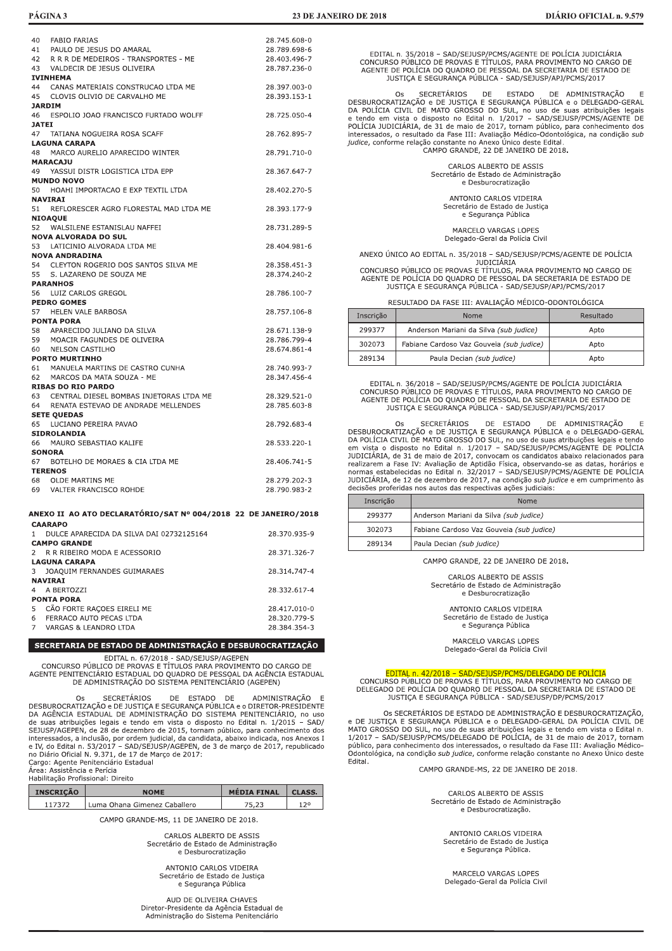| 40            | <b>FABIO FARIAS</b>                                                  | 28.745.608-0                 |
|---------------|----------------------------------------------------------------------|------------------------------|
| 41            | PAULO DE JESUS DO AMARAL                                             | 28.789.698-6                 |
| 42            | R R R DE MEDEIROS - TRANSPORTES - ME                                 | 28.403.496-7                 |
|               | 43 VALDECIR DE JESUS OLIVEIRA                                        | 28.787.236-0                 |
|               | <b>IVINHEMA</b>                                                      |                              |
| 44            | CANAS MATERIAIS CONSTRUCAO LTDA ME                                   | 28.397.003-0                 |
| 45            | CLOVIS OLIVIO DE CARVALHO ME                                         | 28.393.153-1                 |
| <b>JARDIM</b> |                                                                      |                              |
| 46            | ESPOLIO JOAO FRANCISCO FURTADO WOLFF                                 | 28.725.050-4                 |
| <b>JATEI</b>  |                                                                      |                              |
| 47            | TATIANA NOGUEIRA ROSA SCAFF                                          | 28.762.895-7                 |
|               | <b>LAGUNA CARAPA</b>                                                 |                              |
| 48            | MARCO AURELIO APARECIDO WINTER                                       | 28.791.710-0                 |
|               | <b>MARACAJU</b>                                                      |                              |
| 49            | YASSUI DISTR LOGISTICA LTDA EPP                                      | 28.367.647-7                 |
| 50            | <b>MUNDO NOVO</b><br>HOAHI IMPORTACAO E EXP TEXTIL LTDA              | 28.402.270-5                 |
|               | <b>NAVIRAI</b>                                                       |                              |
| 51            | REFLORESCER AGRO FLORESTAL MAD LTDA ME                               | 28.393.177-9                 |
|               | <b>NIOAQUE</b>                                                       |                              |
| 52            | WALSILENE ESTANISLAU NAFFEI                                          | 28.731.289-5                 |
|               | <b>NOVA ALVORADA DO SUL</b>                                          |                              |
| 53            | LATICINIO ALVORADA LTDA ME                                           | 28.404.981-6                 |
|               | <b>NOVA ANDRADINA</b>                                                |                              |
| 54            | CLEYTON ROGERIO DOS SANTOS SILVA ME                                  | 28.358.451-3                 |
| 55            | S. LAZARENO DE SOUZA ME                                              | 28.374.240-2                 |
|               | <b>PARANHOS</b>                                                      |                              |
| 56            | LUIZ CARLOS GREGOL                                                   | 28.786.100-7                 |
|               | <b>PEDRO GOMES</b>                                                   |                              |
| 57            | HELEN VALE BARBOSA                                                   | 28.757.106-8                 |
|               | <b>PONTA PORA</b>                                                    |                              |
| 58            | APARECIDO JULIANO DA SILVA                                           | 28.671.138-9                 |
| 59            | MOACIR FAGUNDES DE OLIVEIRA                                          | 28.786.799-4                 |
| 60            | NELSON CASTILHO                                                      | 28.674.861-4                 |
|               | <b>PORTO MURTINHO</b>                                                |                              |
|               | 61 MANUELA MARTINS DE CASTRO CUNHA                                   | 28.740.993-7                 |
| 62            | MARCOS DA MATA SOUZA - ME                                            | 28.347.456-4                 |
|               | <b>RIBAS DO RIO PARDO</b><br>CENTRAL DIESEL BOMBAS INJETORAS LTDA ME |                              |
| 63<br>64      | RENATA ESTEVAO DE ANDRADE MELLENDES                                  | 28.329.521-0<br>28.785.603-8 |
|               | <b>SETE QUEDAS</b>                                                   |                              |
| 65            | LUCIANO PEREIRA PAVAO                                                | 28.792.683-4                 |
|               | <b>SIDROLANDIA</b>                                                   |                              |
| 66            | MAURO SEBASTIAO KALIFE                                               | 28.533.220-1                 |
|               | <b>SONORA</b>                                                        |                              |
| 67            | BOTELHO DE MORAES & CIA LTDA ME                                      | 28.406.741-5                 |
|               | <b>TERENOS</b>                                                       |                              |
| 68            | OLDE MARTINS ME                                                      | 28.279.202-3                 |
| 69            | VALTER FRANCISCO ROHDE                                               | 28.790.983-2                 |
|               |                                                                      |                              |
|               |                                                                      |                              |
|               | ANEXO II  AO ATO DECLARATÓRIO/SAT Nº 004/2018  22  DE JANEIRO/2018   |                              |
|               | <b>CAARAPO</b>                                                       |                              |

|    | DULCE APARECIDA DA SILVA DAI 02732125164 | 28.370.935-9 |  |
|----|------------------------------------------|--------------|--|
|    | <b>CAMPO GRANDE</b>                      |              |  |
|    | 2 R R RIBEIRO MODA E ACESSORIO           | 28.371.326-7 |  |
|    | <b>LAGUNA CARAPA</b>                     |              |  |
| 3  | JOAQUIM FERNANDES GUIMARAES              | 28.314.747-4 |  |
|    | <b>NAVIRAI</b>                           |              |  |
| 4  | A BERTOZZI                               | 28.332.617-4 |  |
|    | <b>PONTA PORA</b>                        |              |  |
| 5. | CÃO FORTE RAÇOES EIRELI ME               | 28.417.010-0 |  |
| 6  | FERRACO AUTO PECAS LTDA                  | 28.320.779-5 |  |
|    | VARGAS & I FANDRO ITDA                   | 28.384.354-3 |  |
|    |                                          |              |  |
|    |                                          |              |  |

## SECRETARIA DE ESTADO DE ADMINISTRAÇÃO E DESBUROCRATIZAÇÃO

EDITAL n. 67/2018 - SAD/SEJUSP/AGEPEN

CONCURSO PÚBLICO DE PROVAS E TÍTULOS PARA PROVIMENTO DO CARGO DE AGENTE PENITENCIÁRIO ESTADUAL DO QUADRO DE PESSOAL DA AGÊNCIA ESTADUAL<br>DE ADMINISTRAÇÃO DO SISTEMA PENITENCIÁRIO (AGEPEN)

SECRETÁRIOS DE ESTADO DE ADMINISTRAÇÃO  $O<sub>S</sub>$ US SECRETARIUS<br>DESBUROCRATIZAÇÃO e DEJUSTIÇA E SEGURANÇA PÚBLICA e o DIRETOR-PRESIDENTE<br>DA AGÊNCIA ESTADUAL DE ADMINISTRAÇÃO DO SISTEMA PENITENCIÁRIO, no uso DA AGENCIA ESTADUAL DE ADMINISTRAÇÃO DO SISTEMA PENITENCIARIO, no uso de suas atribuições legais e tendo em vista o disposto no Edital n. 1/2015 - SAD/<br>SEJUSP/AGEPEN, de 28 de dezembro de 2015, tornam público, para conheci no Diário Oficial N. 9.371, de 17 de Março de 2017 Cargo: Agente Penitenciário Estadual

área: Assistência e Perícia<br>Habilitação Profissional: Direito

| <b>INSCRIÇÃO</b> | <b>NOME</b>                  | <b>MÉDIA FINAL</b> | CLASS. |
|------------------|------------------------------|--------------------|--------|
| 117372           | Luma Ohana Gimenez Caballero | 75.23              | 120    |

CAMPO GRANDE-MS, 11 DE JANEIRO DE 2018.

CARLOS ALBERTO DE ASSIS Secretário de Estado de Administração e Desburocratização

> ANTONIO CARLOS VIDEIRA<br>Secretário de Estado de Justiça e Segurança Pública

AUD DE OLIVEIRA CHAVES Diretor-Presidente da Agência Estadual de Administração do Sistema Penitenciário

EDITAL n. 35/2018 - SAD/SEJUSP/PCMS/AGENTE DE POLÍCIA JUDICIÁRIA CONCURSO PÚBLICO DE PROVAS E TÍTULOS, PARA PROVIMENTO NO CARGO DE<br>AGENTE DE POLÍCIA DO QUADRO DE PESSOAL DA SECRETARIA DE ESTADO DE JUSTICA E SEGURANCA PÚBLICA - SAD/SEJUSP/APJ/PCMS/2017

OS SECRETÁRIOS DE ESTADO DE ADMINISTRAÇÃO E<br>DESBUROCRATIZAÇÃO e DE JUSTIÇA E SEGURANÇA PÚBLICA e o DELEGADO-GERAL<br>DA POLÍCIA CIVIL DE MATO GROSSO DO SUL, no uso de suas atribuições legais<br>e tendo em vista o disposto no Edi e como em vista o un establecen en el antigar político, para conhecimento dos<br>interessados, o resultado da Fase III: Avaliação Médico-Odontológica, na condição sub<br>judice, conforme relação constante no Anexo Único deste Ed CAMPO GRANDE, 22 DE JANEIRO DE 2018.

> CARLOS ALBERTO DE ASSIS Secretário de Estado de Administração e Desburocratização

> > ANTONIO CARLOS VIDEIRA Secretário de Estado de Justiça e Segurança Pública

## MARCELO VARGAS LOPES Delegado-Geral da Polícia Civil

ANEXO ÚNICO AO EDITAL n. 35/2018 - SAD/SEJUSP/PCMS/AGENTE DE POLÍCIA UDICIÁRIA<br>CONCURSO PÚBLICO DE PROVAS E TÍTULOS, PARA PROVIMENTO NO CARGO DE

SAGENTE DE POLÍCIA DO QUADRO DE PESSOAL DA SECRETARIA DE ESTADO DE<br>JUSTIÇA E SEGURANÇA PÚBLICA - SAD/SEJUSP/APJ/PCMS/2017

RESULTADO DA FASE III: AVALIAÇÃO MÉDICO-ODONTOLÓGICA

| Inscrição | <b>Nome</b>                              | Resultado |
|-----------|------------------------------------------|-----------|
| 299377    | Anderson Mariani da Silva (sub judice)   | Apto      |
| 302073    | Fabiane Cardoso Vaz Gouveia (sub judice) | Apto      |
| 289134    | Paula Decian (sub judice)                | Apto      |

EDITAL n. 36/2018 - SAD/SEJUSP/PCMS/AGENTE DE POLÍCIA JUDICIÁRIA CONCURSO PÚBLICO DE PROVAS E TÍTULOS, PARA PROVIMENTO NO CARGO DE<br>AGENTE DE POLÍCIA DO QUADRO DE PESSOAL DA SECRETARIA DE ESTADO DE JUSTICA E SEGURANCA PÚBLICA - SAD/SEJUSP/APJ/PCMS/2017

Os SECRETÁRIOS DE ESTADO DE ADMINISTRAÇÃO E<br>DESBUROCRATIZAÇÃO e DE JUSTIÇA E SEGURANÇA PÚBLICA e o DELEGADO-GERAL DESBURCORATIZAÇÃO e DE JUSTIÇÃ E SEGURANÇÃO A PUBLICA e o DELEGADO-GERAL<br>
DA POLÍCIA CIVIL DE MATO GROSSO DO SUL, no uso de suas atribuições legais e tendo<br>
em vista o disposto no Edital n. 1/2017 – SAD/SEJUSP/PCMS/AGENTE decisões proferidas nos autos das respectivas ações judiciais:

| Inscrição | Nome                                     |  |
|-----------|------------------------------------------|--|
| 299377    | Anderson Mariani da Silva (sub judice)   |  |
| 302073    | Fabiane Cardoso Vaz Gouveia (sub judice) |  |
| 289134    | Paula Decian (sub judice)                |  |

CAMPO GRANDE, 22 DE JANEIRO DE 2018

CARLOS ALBERTO DE ASSIS Secretário de Estado de Administração<br>e Desburocratização

> ANTONIO CARLOS VIDEIRA Secretário de Estado de Justiça<br>e Segurança Pública

MARCELO VARGAS LOPES Delegado-Geral da Polícia Civil

## EDITAL n. 42/2018 - SAD/SEJUSP/PCMS/DELEGADO DE POLÍCIA

CONCURSO PÚBLICO DE PROVAS E TÍTULOS, PARA PROVIMENTO NO CARGO DE<br>DELEGADO DE POLÍCIA DO QUADRO DE PESSOAL DA SECRETARIA DE ESTADO DE JUSTIÇA E SEGURANÇA PÚBLICA - SAD/SEJUSP/DP/PCMS/2017

OS SECRETÁRIOS DE ESTADO DE ADMINISTRAÇÃO E DESBUROCRATIZAÇÃO, e DE JUSTIÇA E SEGURANÇA PÚBLICA e o DELEGADO-GERAL DA POLÍCIA CIVIL DE<br>MATO GROSSO DO SUL, no uso de suas atribuições legais e tendo em vista o Edital n. 1/2017 - SAD/SEJUSP/PCMS/DELEGADO DE POLÍCIA, de 31 de maio de 2017, tornam<br>público, para conhecimento dos interessados, o resultado da Fase III: Avaliação Médico-Odontológica, na condição sub judice, conforme relação constante no Anexo Único deste Edital.

CAMPO GRANDE-MS, 22 DE JANEIRO DE 2018.

CARLOS ALBERTO DE ASSIS Secretário de Estado de Administração e Desburocratização.

ANTONIO CARLOS VIDEIRA Secretário de Estado de Justica e Segurança Pública.

MARCELO VARGAS LOPES Delegado-Geral da Polícia Civil